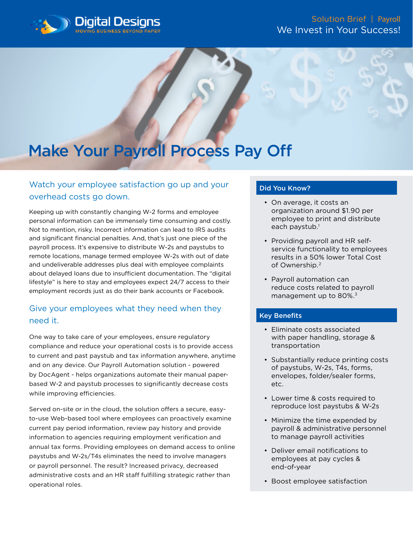

# Make Your Payroll Process Pay Off

## Watch your employee satisfaction go up and your overhead costs go down.

Keeping up with constantly changing W-2 forms and employee personal information can be immensely time consuming and costly. Not to mention, risky. Incorrect information can lead to IRS audits and significant financial penalties. And, that's just one piece of the payroll process. It's expensive to distribute W-2s and paystubs to remote locations, manage termed employee W-2s with out of date and undeliverable addresses plus deal with employee complaints about delayed loans due to insufficient documentation. The "digital lifestyle" is here to stay and employees expect 24/7 access to their employment records just as do their bank accounts or Facebook.

## Give your employees what they need when they need it.

One way to take care of your employees, ensure regulatory compliance and reduce your operational costs is to provide access to current and past paystub and tax information anywhere, anytime and on any device. Our Payroll Automation solution - powered by DocAgent - helps organizations automate their manual paperbased W-2 and paystub processes to significantly decrease costs while improving efficiencies.

Served on-site or in the cloud, the solution offers a secure, easyto-use Web-based tool where employees can proactively examine current pay period information, review pay history and provide information to agencies requiring employment verification and annual tax forms. Providing employees on demand access to online paystubs and W-2s/T4s eliminates the need to involve managers or payroll personnel. The result? Increased privacy, decreased administrative costs and an HR staff fulfilling strategic rather than operational roles.

#### Did You Know?

- On average, it costs an organization around \$1.90 per employee to print and distribute each paystub.<sup>1</sup>
- Providing payroll and HR selfservice functionality to employees results in a 50% lower Total Cost of Ownership.2
- Payroll automation can reduce costs related to payroll management up to 80%.<sup>3</sup>

#### Key Benefits

- Eliminate costs associated with paper handling, storage & transportation
- Substantially reduce printing costs of paystubs, W-2s, T4s, forms, envelopes, folder/sealer forms, etc.
- Lower time & costs required to reproduce lost paystubs & W-2s
- Minimize the time expended by payroll & administrative personnel to manage payroll activities
- Deliver email notifications to employees at pay cycles & end-of-year
- Boost employee satisfaction